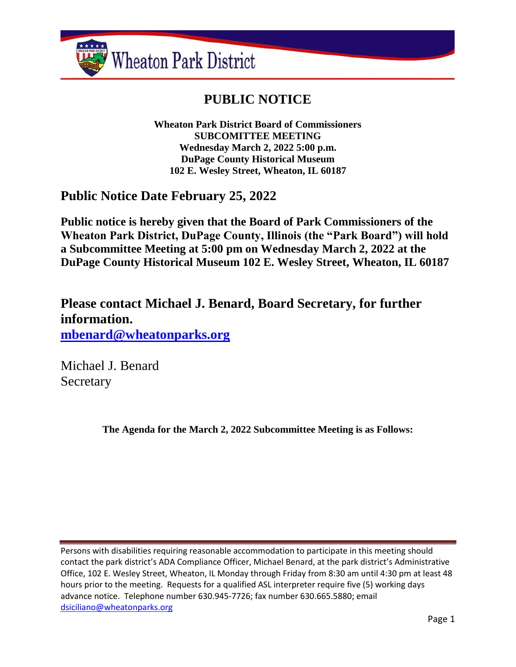

# **PUBLIC NOTICE**

**Wheaton Park District Board of Commissioners SUBCOMITTEE MEETING Wednesday March 2, 2022 5:00 p.m. DuPage County Historical Museum 102 E. Wesley Street, Wheaton, IL 60187**

**Public Notice Date February 25, 2022**

**Public notice is hereby given that the Board of Park Commissioners of the Wheaton Park District, DuPage County, Illinois (the "Park Board") will hold a Subcommittee Meeting at 5:00 pm on Wednesday March 2, 2022 at the DuPage County Historical Museum 102 E. Wesley Street, Wheaton, IL 60187**

**Please contact Michael J. Benard, Board Secretary, for further information. [mbenard@wheatonparks.org](mailto:mbenard@wheatonparks.org)**

Michael J. Benard Secretary

**The Agenda for the March 2, 2022 Subcommittee Meeting is as Follows:**

Persons with disabilities requiring reasonable accommodation to participate in this meeting should contact the park district's ADA Compliance Officer, Michael Benard, at the park district's Administrative Office, 102 E. Wesley Street, Wheaton, IL Monday through Friday from 8:30 am until 4:30 pm at least 48 hours prior to the meeting. Requests for a qualified ASL interpreter require five (5) working days advance notice. Telephone number 630.945-7726; fax number 630.665.5880; email [dsiciliano@wheatonparks.org](mailto:dsiciliano@wheatonparks.org)